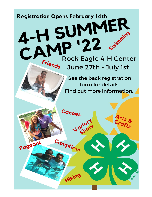